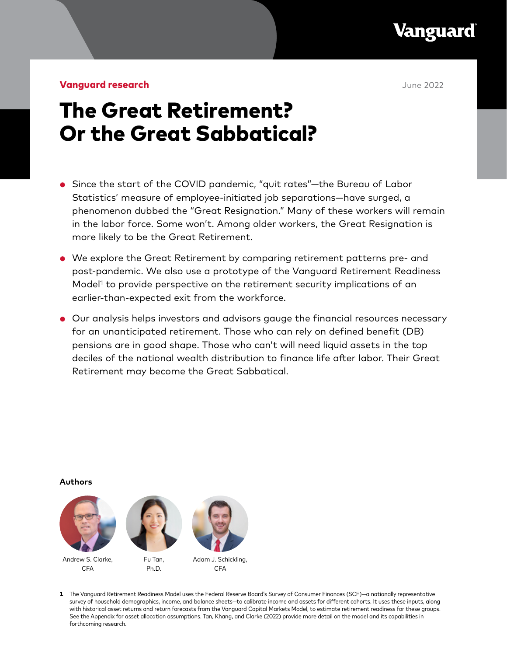**Vanguard** 

**Vanguard research Community Community Community Community Community Community Community Community Community Community Community Community Community Community Community Community Community Community Community Community Com** 

# The Great Retirement? Or the Great Sabbatical?

- Since the start of the COVID pandemic, "quit rates"—the Bureau of Labor Statistics' measure of employee-initiated job separations—have surged, a phenomenon dubbed the "Great Resignation." Many of these workers will remain in the labor force. Some won't. Among older workers, the Great Resignation is more likely to be the Great Retirement.
- We explore the Great Retirement by comparing retirement patterns pre- and post-pandemic. We also use a prototype of the Vanguard Retirement Readiness Model<sup>1</sup> to provide perspective on the retirement security implications of an earlier-than-expected exit from the workforce.
- Our analysis helps investors and advisors gauge the financial resources necessary for an unanticipated retirement. Those who can rely on defined benefit (DB) pensions are in good shape. Those who can't will need liquid assets in the top deciles of the national wealth distribution to finance life after labor. Their Great Retirement may become the Great Sabbatical.

**Authors**



**1** The Vanguard Retirement Readiness Model uses the Federal Reserve Board's Survey of Consumer Finances (SCF)—a nationally representative survey of household demographics, income, and balance sheets—to calibrate income and assets for different cohorts. It uses these inputs, along with historical asset returns and return forecasts from the Vanguard Capital Markets Model, to estimate retirement readiness for these groups. See the Appendix for asset allocation assumptions. Tan, Khang, and Clarke (2022) provide more detail on the model and its capabilities in forthcoming research.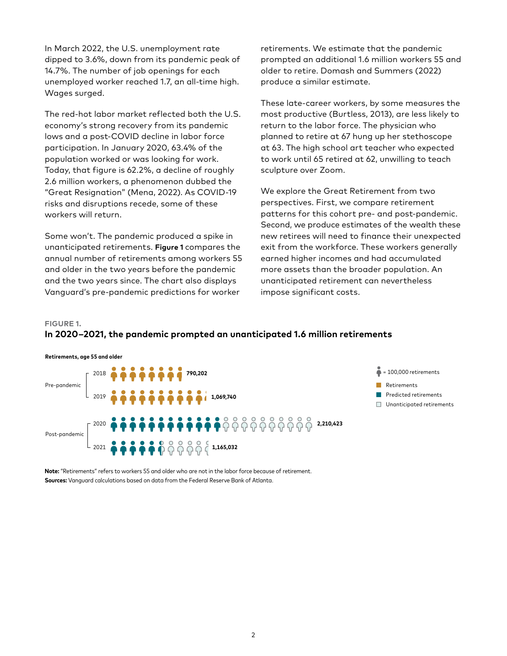In March 2022, the U.S. unemployment rate dipped to 3.6%, down from its pandemic peak of 14.7%. The number of job openings for each unemployed worker reached 1.7, an all-time high. Wages surged.

The red-hot labor market reflected both the U.S. economy's strong recovery from its pandemic lows and a post-COVID decline in labor force participation. In January 2020, 63.4% of the population worked or was looking for work. Today, that figure is 62.2%, a decline of roughly 2.6 million workers, a phenomenon dubbed the "Great Resignation" (Mena, 2022). As COVID-19 risks and disruptions recede, some of these workers will return.

Some won't. The pandemic produced a spike in unanticipated retirements. **Figure 1** compares the annual number of retirements among workers 55 and older in the two years before the pandemic and the two years since. The chart also displays Vanguard's pre-pandemic predictions for worker

retirements. We estimate that the pandemic prompted an additional 1.6 million workers 55 and older to retire. Domash and Summers (2022) produce a similar estimate.

These late-career workers, by some measures the most productive (Burtless, 2013), are less likely to return to the labor force. The physician who planned to retire at 67 hung up her stethoscope at 63. The high school art teacher who expected to work until 65 retired at 62, unwilling to teach sculpture over Zoom.

We explore the Great Retirement from two perspectives. First, we compare retirement patterns for this cohort pre- and post-pandemic. Second, we produce estimates of the wealth these new retirees will need to finance their unexpected exit from the workforce. These workers generally earned higher incomes and had accumulated more assets than the broader population. An unanticipated retirement can nevertheless impose significant costs.

#### **FIGURE 1.**

## **In 2020‒2021, the pandemic prompted an unanticipated 1.6 million retirements**



**Note:** "Retirements" refers to workers 55 and older who are not in the labor force because of retirement. **Sources:** Vanguard calculations based on data from the Federal Reserve Bank of Atlanta.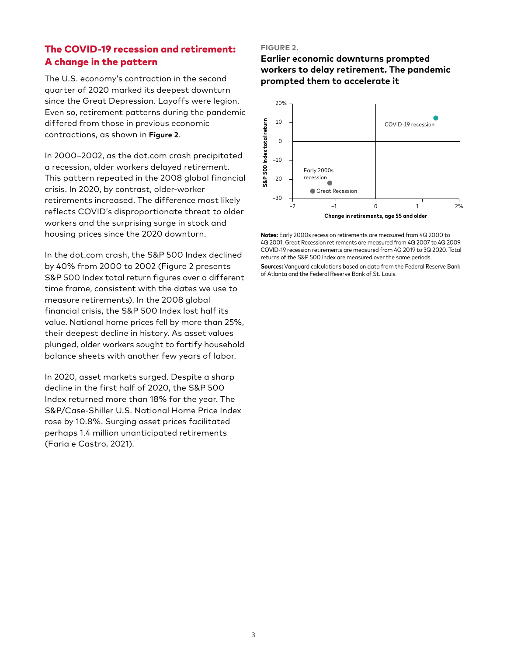# The COVID-19 recession and retirement: A change in the pattern

The U.S. economy's contraction in the second quarter of 2020 marked its deepest downturn since the Great Depression. Layoffs were legion. Even so, retirement patterns during the pandemic differed from those in previous economic contractions, as shown in **Figure 2**.

In 2000-2002, as the dot.com crash precipitated a recession, older workers delayed retirement. This pattern repeated in the 2008 global financial crisis. In 2020, by contrast, older-worker retirements increased. The difference most likely reflects COVID's disproportionate threat to older workers and the surprising surge in stock and housing prices since the 2020 downturn.

In the dot.com crash, the S&P 500 Index declined by 40% from 2000 to 2002 (Figure 2 presents S&P 500 Index total return figures over a different time frame, consistent with the dates we use to measure retirements). In the 2008 global financial crisis, the S&P 500 Index lost half its value. National home prices fell by more than 25%, their deepest decline in history. As asset values plunged, older workers sought to fortify household balance sheets with another few years of labor.

In 2020, asset markets surged. Despite a sharp decline in the first half of 2020, the S&P 500 Index returned more than 18% for the year. The S&P/Case-Shiller U.S. National Home Price Index rose by 10.8%. Surging asset prices facilitated perhaps 1.4 million unanticipated retirements (Faria e Castro, 2021).

#### **FIGURE 2.**

## **Earlier economic downturns prompted workers to delay retirement. The pandemic prompted them to accelerate it**



**Notes:** Early 2000s recession retirements are measured from 4Q 2000 to 4Q 2001. Great Recession retirements are measured from 4Q 2007 to 4Q 2009. COVID-19 recession retirements are measured from 4Q 2019 to 3Q 2020. Total returns of the S&P 500 Index are measured over the same periods.

**Sources:** Vanguard calculations based on data from the Federal Reserve Bank of Atlanta and the Federal Reserve Bank of St. Louis.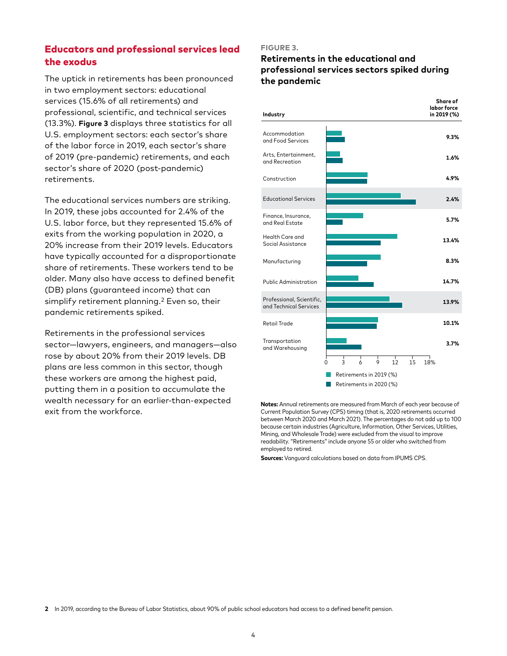# Educators and professional services lead the exodus

The uptick in retirements has been pronounced in two employment sectors: educational services (15.6% of all retirements) and professional, scientific, and technical services (13.3%). **Figure 3** displays three statistics for all U.S. employment sectors: each sector's share of the labor force in 2019, each sector's share of 2019 (pre-pandemic) retirements, and each sector's share of 2020 (post-pandemic) retirements.

The educational services numbers are striking. In 2019, these jobs accounted for 2.4% of the U.S. labor force, but they represented 15.6% of exits from the working population in 2020, a 20% increase from their 2019 levels. Educators have typically accounted for a disproportionate share of retirements. These workers tend to be older. Many also have access to defined benefit (DB) plans (guaranteed income) that can simplify retirement planning.<sup>2</sup> Even so, their pandemic retirements spiked.

Retirements in the professional services sector—lawyers, engineers, and managers—also rose by about 20% from their 2019 levels. DB plans are less common in this sector, though these workers are among the highest paid, putting them in a position to accumulate the wealth necessary for an earlier-than-expected exit from the workforce.

#### **FIGURE 3.**

## **Retirements in the educational and professional services sectors spiked during the pandemic**



**Notes:** Annual retirements are measured from March of each year because of Current Population Survey (CPS) timing (that is, 2020 retirements occurred between March 2020 and March 2021). The percentages do not add up to 100 because certain industries (Agriculture, Information, Other Services, Utilities, Mining, and Wholesale Trade) were excluded from the visual to improve readability. "Retirements" include anyone 55 or older who switched from employed to retired.

**Sources:** Vanguard calculations based on data from IPUMS CPS.

**2** In 2019, according to the Bureau of Labor Statistics, about 90% of public school educators had access to a defined benefit pension.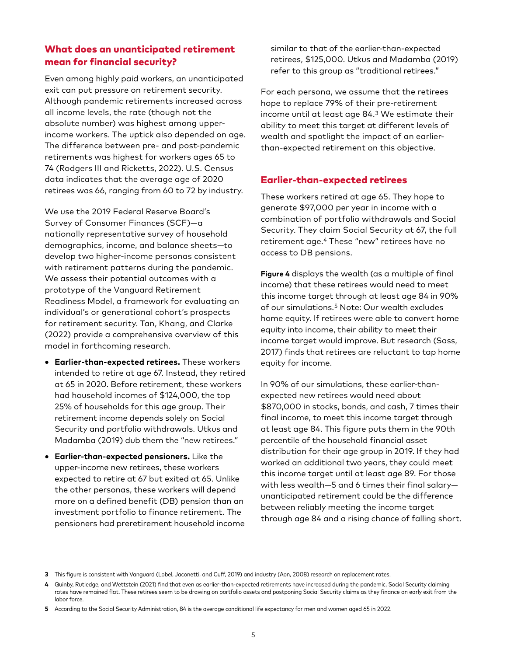# What does an unanticipated retirement mean for financial security?

Even among highly paid workers, an unanticipated exit can put pressure on retirement security. Although pandemic retirements increased across all income levels, the rate (though not the absolute number) was highest among upperincome workers. The uptick also depended on age. The difference between pre- and post-pandemic retirements was highest for workers ages 65 to 74 (Rodgers III and Ricketts, 2022). U.S. Census data indicates that the average age of 2020 retirees was 66, ranging from 60 to 72 by industry.

We use the 2019 Federal Reserve Board's Survey of Consumer Finances (SCF)—a nationally representative survey of household demographics, income, and balance sheets—to develop two higher-income personas consistent with retirement patterns during the pandemic. We assess their potential outcomes with a prototype of the Vanguard Retirement Readiness Model, a framework for evaluating an individual's or generational cohort's prospects for retirement security. Tan, Khang, and Clarke (2022) provide a comprehensive overview of this model in forthcoming research.

- **Earlier-than-expected retirees.** These workers intended to retire at age 67. Instead, they retired at 65 in 2020. Before retirement, these workers had household incomes of \$124,000, the top 25% of households for this age group. Their retirement income depends solely on Social Security and portfolio withdrawals. Utkus and Madamba (2019) dub them the "new retirees."
- **Earlier-than-expected pensioners.** Like the upper-income new retirees, these workers expected to retire at 67 but exited at 65. Unlike the other personas, these workers will depend more on a defined benefit (DB) pension than an investment portfolio to finance retirement. The pensioners had preretirement household income

similar to that of the earlier-than-expected retirees, \$125,000. Utkus and Madamba (2019) refer to this group as "traditional retirees."

For each persona, we assume that the retirees hope to replace 79% of their pre-retirement income until at least age 84.3 We estimate their ability to meet this target at different levels of wealth and spotlight the impact of an earlierthan-expected retirement on this objective.

### Earlier-than-expected retirees

These workers retired at age 65. They hope to generate \$97,000 per year in income with a combination of portfolio withdrawals and Social Security. They claim Social Security at 67, the full retirement age.4 These "new" retirees have no access to DB pensions.

**Figure 4** displays the wealth (as a multiple of final income) that these retirees would need to meet this income target through at least age 84 in 90% of our simulations.5 Note: Our wealth excludes home equity. If retirees were able to convert home equity into income, their ability to meet their income target would improve. But research (Sass, 2017) finds that retirees are reluctant to tap home equity for income.

In 90% of our simulations, these earlier-thanexpected new retirees would need about \$870,000 in stocks, bonds, and cash, 7 times their final income, to meet this income target through at least age 84. This figure puts them in the 90th percentile of the household financial asset distribution for their age group in 2019. If they had worked an additional two years, they could meet this income target until at least age 89. For those with less wealth—5 and 6 times their final salary unanticipated retirement could be the difference between reliably meeting the income target through age 84 and a rising chance of falling short.

**<sup>3</sup>** This figure is consistent with Vanguard (Lobel, Jaconetti, and Cuff, 2019) and industry (Aon, 2008) research on replacement rates.

**<sup>4</sup>** Quinby, Rutledge, and Wettstein (2021) find that even as earlier-than-expected retirements have increased during the pandemic, Social Security claiming rates have remained flat. These retirees seem to be drawing on portfolio assets and postponing Social Security claims as they finance an early exit from the labor force.

**<sup>5</sup>** According to the Social Security Administration, 84 is the average conditional life expectancy for men and women aged 65 in 2022.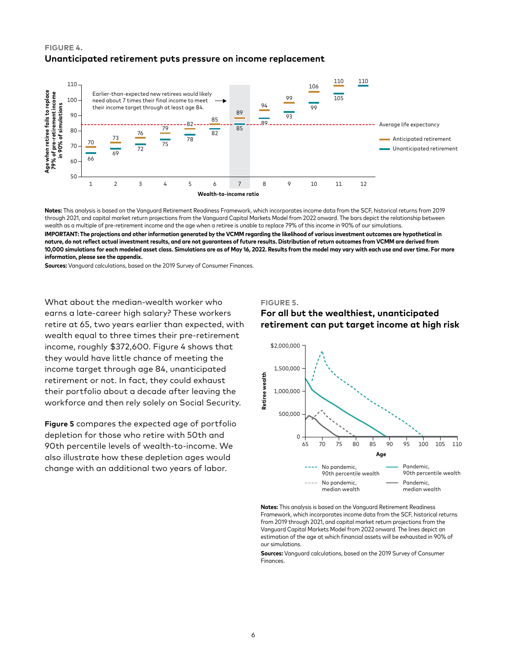#### **FIGURE 4. Unanticipated retirement puts pressure on income replacement**



**Notes:** This analysis is based on the Vanguard Retirement Readiness Framework, which incorporates income data from the SCF, historical returns from 2019 through 2021, and capital market return projections from the Vanguard Capital Markets Model from 2022 onward. The bars depict the relationship between wealth as a multiple of pre-retirement income and the age when a retiree is unable to replace 79% of this income in 90% of our simulations.

**IMPORTANT: The projections and other information generated by the VCMM regarding the likelihood of various investment outcomes are hypothetical in nature, do not reflect actual investment results, and are not guarantees of future results. Distribution of return outcomes from VCMM are derived from 10,000 simulations for each modeled asset class. Simulations are as of May 16, 2022. Results from the model may vary with each use and over time. For more information, please see the appendix.**

**Sources:** Vanguard calculations, based on the 2019 Survey of Consumer Finances.

What about the median-wealth worker who earns a late-career high salary? These workers retire at 65, two years earlier than expected, with wealth equal to three times their pre-retirement income, roughly \$372,600. Figure 4 shows that they would have little chance of meeting the income target through age 84, unanticipated retirement or not. In fact, they could exhaust their portfolio about a decade after leaving the workforce and then rely solely on Social Security.

**Figure 5** compares the expected age of portfolio depletion for those who retire with 50th and 90th percentile levels of wealth-to-income. We also illustrate how these depletion ages would change with an additional two years of labor.

#### **FIGURE 5.**

#### **For all but the wealthiest, unanticipated retirement can put target income at high risk**



**Notes:** This analysis is based on the Vanguard Retirement Readiness Framework, which incorporates income data from the SCF, historical returns from 2019 through 2021, and capital market return projections from the Vanguard Capital Markets Model from 2022 onward. The lines depict an estimation of the age at which financial assets will be exhausted in 90% of our simulations.

**Sources:** Vanguard calculations, based on the 2019 Survey of Consumer **Finances**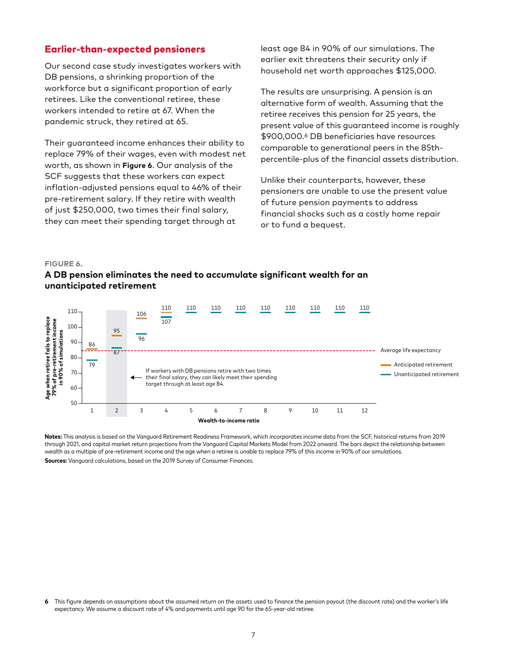### Earlier-than-expected pensioners

Our second case study investigates workers with DB pensions, a shrinking proportion of the workforce but a significant proportion of early retirees. Like the conventional retiree, these workers intended to retire at 67. When the pandemic struck, they retired at 65.

Their guaranteed income enhances their ability to replace 79% of their wages, even with modest net worth, as shown in **Figure 6**. Our analysis of the SCF suggests that these workers can expect inflation-adjusted pensions equal to 46% of their pre-retirement salary. If they retire with wealth of just \$250,000, two times their final salary, they can meet their spending target through at

least age 84 in 90% of our simulations. The earlier exit threatens their security only if household net worth approaches \$125,000.

The results are unsurprising. A pension is an alternative form of wealth. Assuming that the retiree receives this pension for 25 years, the present value of this guaranteed income is roughly \$900,000.6 DB beneficiaries have resources comparable to generational peers in the 85thpercentile-plus of the financial assets distribution.

Unlike their counterparts, however, these pensioners are unable to use the present value of future pension payments to address financial shocks such as a costly home repair or to fund a bequest.

#### **FIGURE 6.**





**Notes:** This analysis is based on the Vanguard Retirement Readiness Framework, which incorporates income data from the SCF, historical returns from 2019 through 2021, and capital market return projections from the Vanguard Capital Markets Model from 2022 onward. The bars depict the relationship between wealth as a multiple of pre-retirement income and the age when a retiree is unable to replace 79% of this income in 90% of our simulations. **Sources:** Vanguard calculations, based on the 2019 Survey of Consumer Finances.

**<sup>6</sup>** This figure depends on assumptions about the assumed return on the assets used to finance the pension payout (the discount rate) and the worker's life expectancy. We assume a discount rate of 4% and payments until age 90 for the 65-year-old retiree.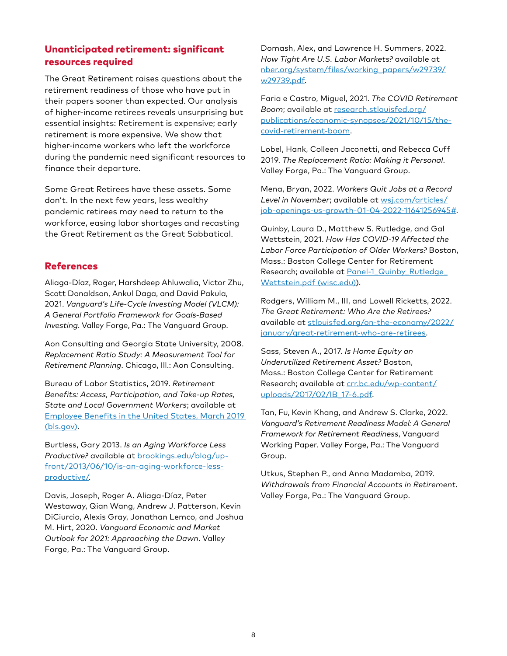# Unanticipated retirement: significant resources required

The Great Retirement raises questions about the retirement readiness of those who have put in their papers sooner than expected. Our analysis of higher-income retirees reveals unsurprising but essential insights: Retirement is expensive; early retirement is more expensive. We show that higher-income workers who left the workforce during the pandemic need significant resources to finance their departure.

Some Great Retirees have these assets. Some don't. In the next few years, less wealthy pandemic retirees may need to return to the workforce, easing labor shortages and recasting the Great Retirement as the Great Sabbatical.

## References

Aliaga-Díaz, Roger, Harshdeep Ahluwalia, Victor Zhu, Scott Donaldson, Ankul Daga, and David Pakula, 2021. *Vanguard's Life-Cycle Investing Model (VLCM): A General Portfolio Framework for Goals-Based Investing*. Valley Forge, Pa.: The Vanguard Group.

Aon Consulting and Georgia State University, 2008. *Replacement Ratio Study: A Measurement Tool for Retirement Planning*. Chicago, Ill.: Aon Consulting.

Bureau of Labor Statistics, 2019. *Retirement Benefits: Access, Participation, and Take-up Rates, State and Local Government Workers*; available at [Employee Benefits in the United States, March 2019](http://bls.gov)  [\(bls.gov\)](http://bls.gov).

Burtless, Gary 2013. *Is an Aging Workforce Less Productive?* available at [brookings.edu/blog/up](http://brookings.edu/blog/up-front/2013/06/10/is-an-aging-workforce-less-productive/)[front/2013/06/10/is-an-aging-workforce-less](http://brookings.edu/blog/up-front/2013/06/10/is-an-aging-workforce-less-productive/)[productive/](http://brookings.edu/blog/up-front/2013/06/10/is-an-aging-workforce-less-productive/).

Davis, Joseph, Roger A. Aliaga-Díaz, Peter Westaway, Qian Wang, Andrew J. Patterson, Kevin DiCiurcio, Alexis Gray, Jonathan Lemco, and Joshua M. Hirt, 2020. *Vanguard Economic and Market Outlook for 2021: Approaching the Dawn*. Valley Forge, Pa.: The Vanguard Group.

Domash, Alex, and Lawrence H. Summers, 2022. *How Tight Are U.S. Labor Markets?* available at [nber.org/system/files/working\\_papers/w29739/](http://nber.org/system/files/working_papers/w29739/w29739.pdf) [w29739.pdf.](http://nber.org/system/files/working_papers/w29739/w29739.pdf)

Faria e Castro, Miguel, 2021. *The COVID Retirement Boom*; available at [research.stlouisfed.org/](http://research.stlouisfed.org/publications/economic-synopses/2021/10/15/the-covid-retirement-boom) [publications/economic-synopses/2021/10/15/the](http://research.stlouisfed.org/publications/economic-synopses/2021/10/15/the-covid-retirement-boom)[covid-retirement-boom.](http://research.stlouisfed.org/publications/economic-synopses/2021/10/15/the-covid-retirement-boom)

Lobel, Hank, Colleen Jaconetti, and Rebecca Cuff 2019. *The Replacement Ratio: Making it Personal*. Valley Forge, Pa.: The Vanguard Group.

Mena, Bryan, 2022. *Workers Quit Jobs at a Record Level in November*; available at [wsj.com/articles/](http://wsj.com/articles/job-openings-us-growth-01-04-2022-11641256945#) [job-openings-us-growth-01-04-2022-11641256945#](http://wsj.com/articles/job-openings-us-growth-01-04-2022-11641256945#).

Quinby, Laura D., Matthew S. Rutledge, and Gal Wettstein, 2021. *How Has COVID-19 Affected the Labor Force Participation of Older Workers?* Boston, Mass.: Boston College Center for Retirement Research; available at Panel-1 Quinby Rutledge [Wettstein.pdf \(wisc.edu\)\)](https://cfsrdrc.wisc.edu/files/Panel-1_Quinby_Rutledge_Wettstein.pdf).

Rodgers, William M., III, and Lowell Ricketts, 2022. *The Great Retirement: Who Are the Retirees?*  available at [stlouisfed.org/on-the-economy/2022/](http://stlouisfed.org/on-the-economy/2022/january/great-retirement-who-are-retirees) [january/great-retirement-who-are-retirees](http://stlouisfed.org/on-the-economy/2022/january/great-retirement-who-are-retirees).

Sass, Steven A., 2017. *Is Home Equity an Underutilized Retirement Asset?* Boston, Mass.: Boston College Center for Retirement Research; available at [crr.bc.edu/wp-content/](http://crr.bc.edu/wp-content/uploads/2017/02/IB_17-6.pdf) [uploads/2017/02/IB\\_17-6.pdf](http://crr.bc.edu/wp-content/uploads/2017/02/IB_17-6.pdf).

Tan, Fu, Kevin Khang, and Andrew S. Clarke, 2022. *Vanguard's Retirement Readiness Model: A General Framework for Retirement Readiness*, Vanguard Working Paper. Valley Forge, Pa.: The Vanguard Group.

Utkus, Stephen P., and Anna Madamba, 2019. *Withdrawals from Financial Accounts in Retirement*. Valley Forge, Pa.: The Vanguard Group.